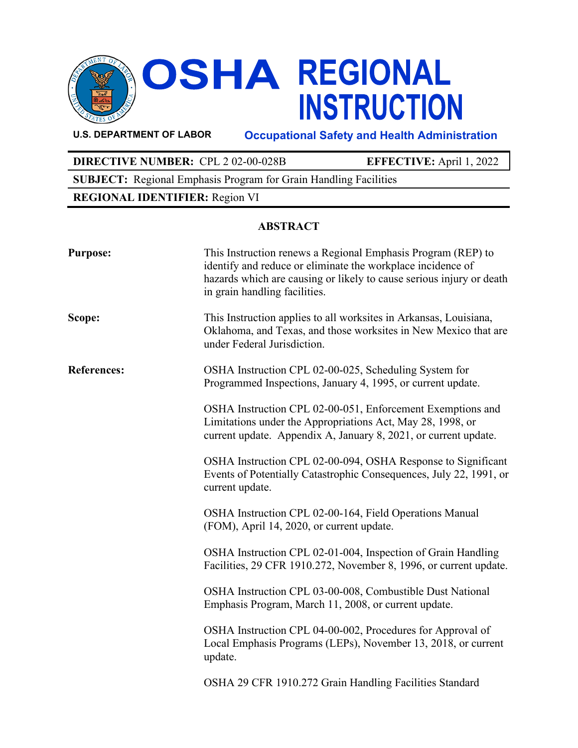

# **OSHA REGIONAL<br>INSTRUCTION**

**U.S. DEPARTMENT OF LABOR Occupational Safety and Health Administration**

# **DIRECTIVE NUMBER:** CPL 2 02-00-028B **EFFECTIVE:** April 1, 2022

**SUBJECT:** Regional Emphasis Program for Grain Handling Facilities

# **REGIONAL IDENTIFIER:** Region VI

# **ABSTRACT**

| <b>Purpose:</b>    | This Instruction renews a Regional Emphasis Program (REP) to<br>identify and reduce or eliminate the workplace incidence of<br>hazards which are causing or likely to cause serious injury or death<br>in grain handling facilities. |
|--------------------|--------------------------------------------------------------------------------------------------------------------------------------------------------------------------------------------------------------------------------------|
| Scope:             | This Instruction applies to all worksites in Arkansas, Louisiana,<br>Oklahoma, and Texas, and those worksites in New Mexico that are<br>under Federal Jurisdiction.                                                                  |
| <b>References:</b> | OSHA Instruction CPL 02-00-025, Scheduling System for<br>Programmed Inspections, January 4, 1995, or current update.                                                                                                                 |
|                    | OSHA Instruction CPL 02-00-051, Enforcement Exemptions and<br>Limitations under the Appropriations Act, May 28, 1998, or<br>current update. Appendix A, January 8, 2021, or current update.                                          |
|                    | OSHA Instruction CPL 02-00-094, OSHA Response to Significant<br>Events of Potentially Catastrophic Consequences, July 22, 1991, or<br>current update.                                                                                |
|                    | OSHA Instruction CPL 02-00-164, Field Operations Manual<br>(FOM), April 14, 2020, or current update.                                                                                                                                 |
|                    | OSHA Instruction CPL 02-01-004, Inspection of Grain Handling<br>Facilities, 29 CFR 1910.272, November 8, 1996, or current update.                                                                                                    |
|                    | OSHA Instruction CPL 03-00-008, Combustible Dust National<br>Emphasis Program, March 11, 2008, or current update.                                                                                                                    |
|                    | OSHA Instruction CPL 04-00-002, Procedures for Approval of<br>Local Emphasis Programs (LEPs), November 13, 2018, or current<br>update.                                                                                               |
|                    | OSHA 29 CFR 1910.272 Grain Handling Facilities Standard                                                                                                                                                                              |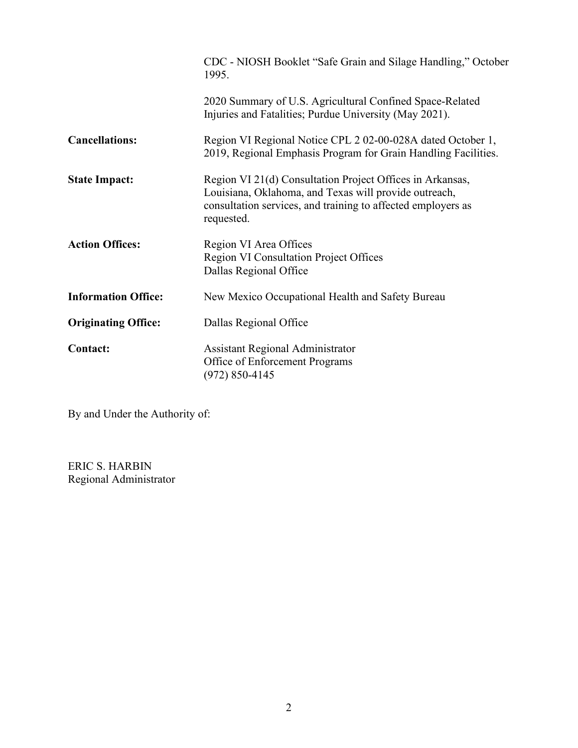|                            | CDC - NIOSH Booklet "Safe Grain and Silage Handling," October<br>1995.                                                                                                                           |  |  |  |  |
|----------------------------|--------------------------------------------------------------------------------------------------------------------------------------------------------------------------------------------------|--|--|--|--|
|                            | 2020 Summary of U.S. Agricultural Confined Space-Related<br>Injuries and Fatalities; Purdue University (May 2021).                                                                               |  |  |  |  |
| <b>Cancellations:</b>      | Region VI Regional Notice CPL 2 02-00-028A dated October 1,<br>2019, Regional Emphasis Program for Grain Handling Facilities.                                                                    |  |  |  |  |
| <b>State Impact:</b>       | Region VI 21(d) Consultation Project Offices in Arkansas,<br>Louisiana, Oklahoma, and Texas will provide outreach,<br>consultation services, and training to affected employers as<br>requested. |  |  |  |  |
| <b>Action Offices:</b>     | Region VI Area Offices<br><b>Region VI Consultation Project Offices</b><br>Dallas Regional Office                                                                                                |  |  |  |  |
| <b>Information Office:</b> | New Mexico Occupational Health and Safety Bureau                                                                                                                                                 |  |  |  |  |
| <b>Originating Office:</b> | Dallas Regional Office                                                                                                                                                                           |  |  |  |  |
| <b>Contact:</b>            | <b>Assistant Regional Administrator</b><br>Office of Enforcement Programs<br>$(972) 850 - 4145$                                                                                                  |  |  |  |  |

By and Under the Authority of:

ERIC S. HARBIN Regional Administrator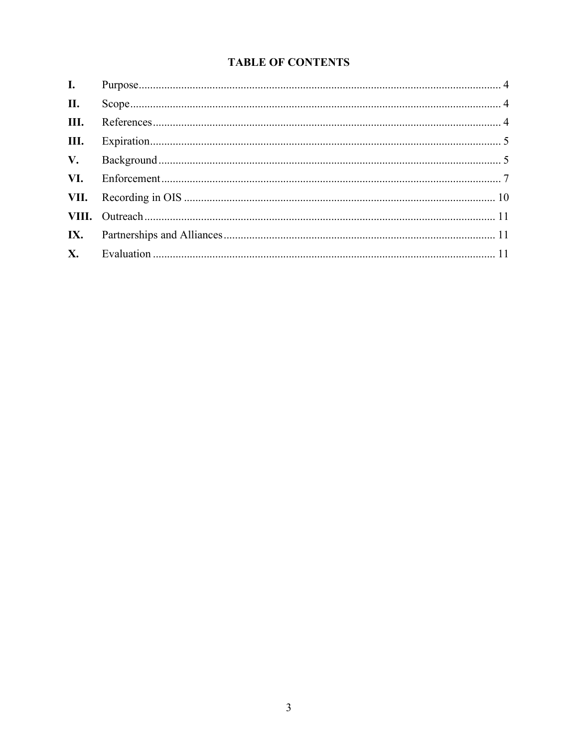# **TABLE OF CONTENTS**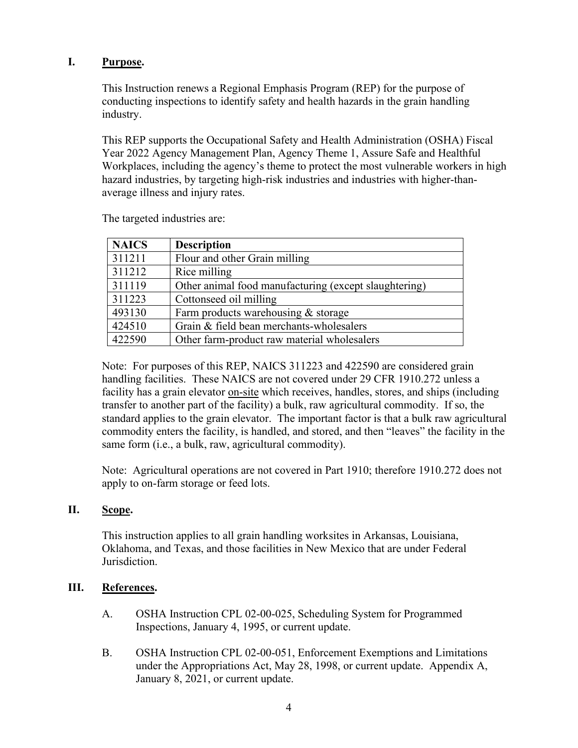## <span id="page-3-0"></span>**I. Purpose.**

This Instruction renews a Regional Emphasis Program (REP) for the purpose of conducting inspections to identify safety and health hazards in the grain handling industry.

This REP supports the Occupational Safety and Health Administration (OSHA) Fiscal Year 2022 Agency Management Plan, Agency Theme 1, Assure Safe and Healthful Workplaces, including the agency's theme to protect the most vulnerable workers in high hazard industries, by targeting high-risk industries and industries with higher-thanaverage illness and injury rates.

| <b>NAICS</b> | <b>Description</b>                                    |
|--------------|-------------------------------------------------------|
| 311211       | Flour and other Grain milling                         |
| 311212       | Rice milling                                          |
| 311119       | Other animal food manufacturing (except slaughtering) |
| 311223       | Cottonseed oil milling                                |
| 493130       | Farm products warehousing & storage                   |
| 424510       | Grain & field bean merchants-wholesalers              |
| 422590       | Other farm-product raw material wholesalers           |

The targeted industries are:

Note: For purposes of this REP, NAICS 311223 and 422590 are considered grain handling facilities. These NAICS are not covered under 29 CFR 1910.272 unless a facility has a grain elevator on-site which receives, handles, stores, and ships (including transfer to another part of the facility) a bulk, raw agricultural commodity. If so, the standard applies to the grain elevator. The important factor is that a bulk raw agricultural commodity enters the facility, is handled, and stored, and then "leaves" the facility in the same form (i.e., a bulk, raw, agricultural commodity).

Note: Agricultural operations are not covered in Part 1910; therefore 1910.272 does not apply to on-farm storage or feed lots.

#### <span id="page-3-1"></span>**II. Scope.**

This instruction applies to all grain handling worksites in Arkansas, Louisiana, Oklahoma, and Texas, and those facilities in New Mexico that are under Federal Jurisdiction.

## <span id="page-3-2"></span>**III. References.**

- A. OSHA Instruction CPL 02-00-025, Scheduling System for Programmed Inspections, January 4, 1995, or current update.
- B. OSHA Instruction CPL 02-00-051, Enforcement Exemptions and Limitations under the Appropriations Act, May 28, 1998, or current update. Appendix A, January 8, 2021, or current update.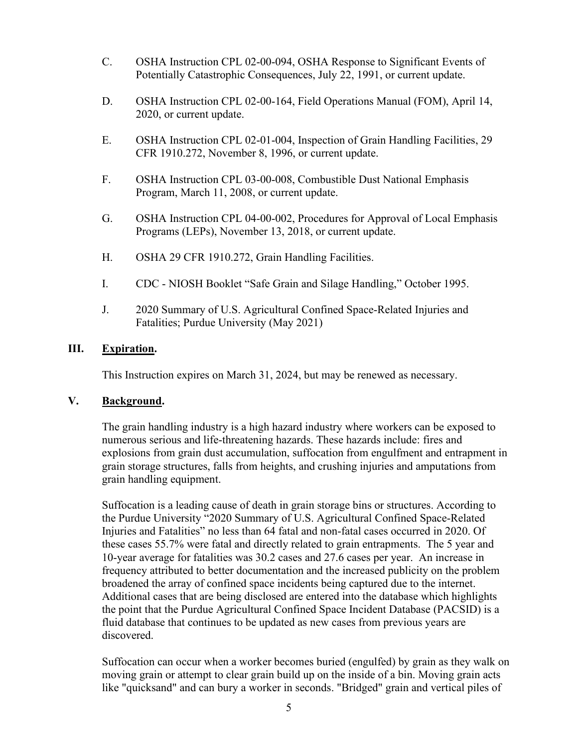- C. OSHA Instruction CPL 02-00-094, OSHA Response to Significant Events of Potentially Catastrophic Consequences, July 22, 1991, or current update.
- D. OSHA Instruction CPL 02-00-164, Field Operations Manual (FOM), April 14, 2020, or current update.
- E. OSHA Instruction CPL 02-01-004, Inspection of Grain Handling Facilities, 29 CFR 1910.272, November 8, 1996, or current update.
- F. OSHA Instruction CPL 03-00-008, Combustible Dust National Emphasis Program, March 11, 2008, or current update.
- G. OSHA Instruction CPL 04-00-002, Procedures for Approval of Local Emphasis Programs (LEPs), November 13, 2018, or current update.
- H. OSHA 29 CFR 1910.272, Grain Handling Facilities.
- I. CDC NIOSH Booklet "Safe Grain and Silage Handling," October 1995.
- J. 2020 Summary of U.S. Agricultural Confined Space-Related Injuries and Fatalities; Purdue University (May 2021)

## <span id="page-4-0"></span>**III. Expiration.**

This Instruction expires on March 31, 2024, but may be renewed as necessary.

#### <span id="page-4-1"></span>**V. Background.**

The grain handling industry is a high hazard industry where workers can be exposed to numerous serious and life-threatening hazards. These hazards include: fires and explosions from grain dust accumulation, suffocation from engulfment and entrapment in grain storage structures, falls from heights, and crushing injuries and amputations from grain handling equipment.

Suffocation is a leading cause of death in grain storage bins or structures. According to the Purdue University "2020 Summary of U.S. Agricultural Confined Space-Related Injuries and Fatalities" no less than 64 fatal and non-fatal cases occurred in 2020. Of these cases 55.7% were fatal and directly related to grain entrapments. The 5 year and 10-year average for fatalities was 30.2 cases and 27.6 cases per year. An increase in frequency attributed to better documentation and the increased publicity on the problem broadened the array of confined space incidents being captured due to the internet. Additional cases that are being disclosed are entered into the database which highlights the point that the Purdue Agricultural Confined Space Incident Database (PACSID) is a fluid database that continues to be updated as new cases from previous years are discovered.

Suffocation can occur when a worker becomes buried (engulfed) by grain as they walk on moving grain or attempt to clear grain build up on the inside of a bin. Moving grain acts like "quicksand" and can bury a worker in seconds. "Bridged" grain and vertical piles of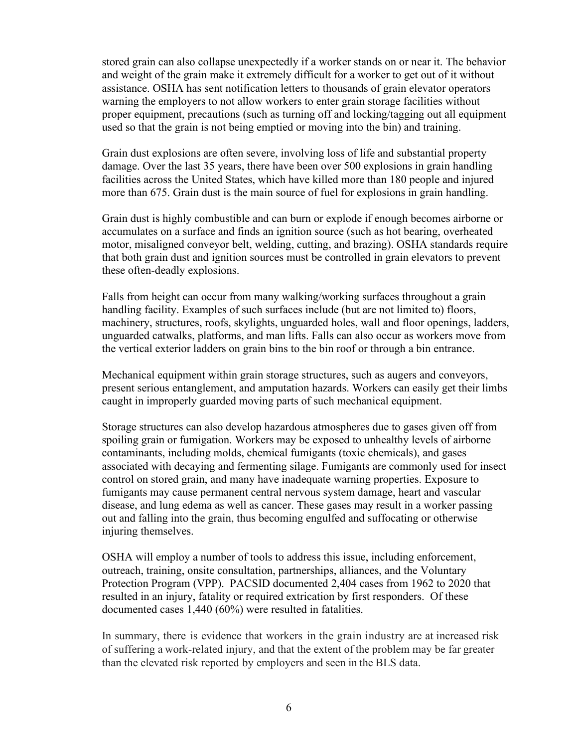stored grain can also collapse unexpectedly if a worker stands on or near it. The behavior and weight of the grain make it extremely difficult for a worker to get out of it without assistance. OSHA has sent notification letters to thousands of grain elevator operators warning the employers to not allow workers to enter grain storage facilities without proper equipment, precautions (such as turning off and locking/tagging out all equipment used so that the grain is not being emptied or moving into the bin) and training.

Grain dust explosions are often severe, involving loss of life and substantial property damage. Over the last 35 years, there have been over 500 explosions in grain handling facilities across the United States, which have killed more than 180 people and injured more than 675. Grain dust is the main source of fuel for explosions in grain handling.

Grain dust is highly combustible and can burn or explode if enough becomes airborne or accumulates on a surface and finds an ignition source (such as hot bearing, overheated motor, misaligned conveyor belt, welding, cutting, and brazing). OSHA standards require that both grain dust and ignition sources must be controlled in grain elevators to prevent these often-deadly explosions.

Falls from height can occur from many walking/working surfaces throughout a grain handling facility. Examples of such surfaces include (but are not limited to) floors, machinery, structures, roofs, skylights, unguarded holes, wall and floor openings, ladders, unguarded catwalks, platforms, and man lifts. Falls can also occur as workers move from the vertical exterior ladders on grain bins to the bin roof or through a bin entrance.

Mechanical equipment within grain storage structures, such as augers and conveyors, present serious entanglement, and amputation hazards. Workers can easily get their limbs caught in improperly guarded moving parts of such mechanical equipment.

Storage structures can also develop hazardous atmospheres due to gases given off from spoiling grain or fumigation. Workers may be exposed to unhealthy levels of airborne contaminants, including molds, chemical fumigants (toxic chemicals), and gases associated with decaying and fermenting silage. Fumigants are commonly used for insect control on stored grain, and many have inadequate warning properties. Exposure to fumigants may cause permanent central nervous system damage, heart and vascular disease, and lung edema as well as cancer. These gases may result in a worker passing out and falling into the grain, thus becoming engulfed and suffocating or otherwise injuring themselves.

OSHA will employ a number of tools to address this issue, including enforcement, outreach, training, onsite consultation, partnerships, alliances, and the Voluntary Protection Program (VPP). PACSID documented 2,404 cases from 1962 to 2020 that resulted in an injury, fatality or required extrication by first responders. Of these documented cases 1,440 (60%) were resulted in fatalities.

In summary, there is evidence that workers in the grain industry are at increased risk of suffering a work-related injury, and that the extent of the problem may be far greater than the elevated risk reported by employers and seen in the BLS data.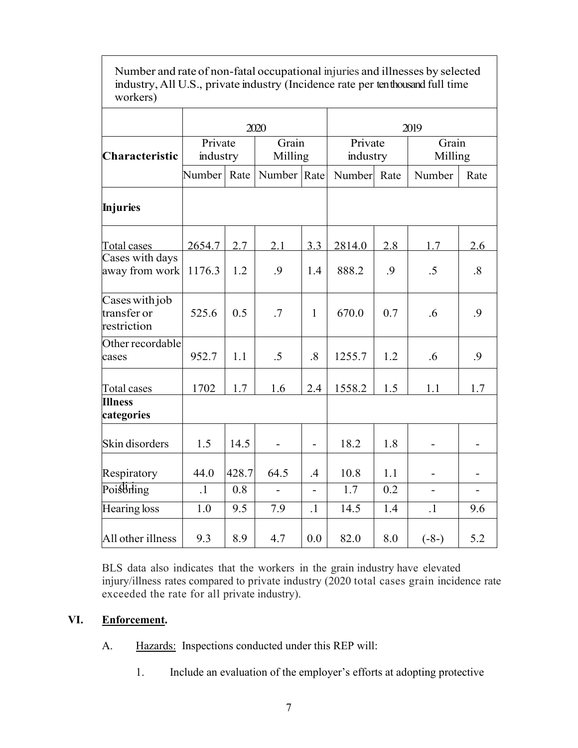| workers)                                     |                     |       |                  |                          |                     |     |                          |           |
|----------------------------------------------|---------------------|-------|------------------|--------------------------|---------------------|-----|--------------------------|-----------|
|                                              | 2020                |       |                  |                          | 2019                |     |                          |           |
| Characteristic                               | Private<br>industry |       | Grain<br>Milling |                          | Private<br>industry |     | Grain<br>Milling         |           |
|                                              | Number Rate         |       | Number Rate      |                          | Number Rate         |     | Number                   | Rate      |
| <b>Injuries</b>                              |                     |       |                  |                          |                     |     |                          |           |
| Total cases                                  | 2654.7              | 2.7   | 2.1              | 3.3                      | 2814.0              | 2.8 | 1.7                      | 2.6       |
| Cases with days<br>away from work            | 1176.3              | 1.2   | .9               | 1.4                      | 888.2               | .9  | .5                       | $\cdot$ 8 |
| Cases with job<br>transfer or<br>restriction | 525.6               | 0.5   | .7               | $\mathbf{1}$             | 670.0               | 0.7 | .6                       | .9        |
| Other recordable<br>cases                    | 952.7               | 1.1   | $.5\,$           | .8                       | 1255.7              | 1.2 | .6                       | .9        |
| Total cases                                  | 1702                | 1.7   | 1.6              | 2.4                      | 1558.2              | 1.5 | 1.1                      | 1.7       |
| <b>Illness</b><br>categories                 |                     |       |                  |                          |                     |     |                          |           |
| Skin disorders                               | 1.5                 | 14.5  | $\overline{a}$   | $\overline{\phantom{0}}$ | 18.2                | 1.8 |                          |           |
| Respiratory                                  | 44.0                | 428.7 | 64.5             | .4                       | 10.8                | 1.1 | $\overline{\phantom{0}}$ |           |
| Poisthing                                    | $\cdot$ 1           | 0.8   | $\overline{a}$   | $\overline{a}$           | 1.7                 | 0.2 |                          |           |
| Hearing loss                                 | 1.0                 | 9.5   | 7.9              | $\cdot$ 1                | 14.5                | 1.4 | $\cdot$ 1                | 9.6       |
| All other illness                            | 9.3                 | 8.9   | 4.7              | 0.0                      | 82.0                | 8.0 | $(-8-)$                  | 5.2       |

Number and rate of non-fatal occupational injuries and illnesses by selected industry, All U.S., private industry (Incidence rate per ten thousand full time

BLS data also indicates that the workers in the grain industry have elevated injury/illness rates compared to private industry (2020 total cases grain incidence rate exceeded the rate for all private industry).

## <span id="page-6-0"></span>**VI. Enforcement.**

- A. Hazards: Inspections conducted under this REP will:
	- 1. Include an evaluation of the employer's efforts at adopting protective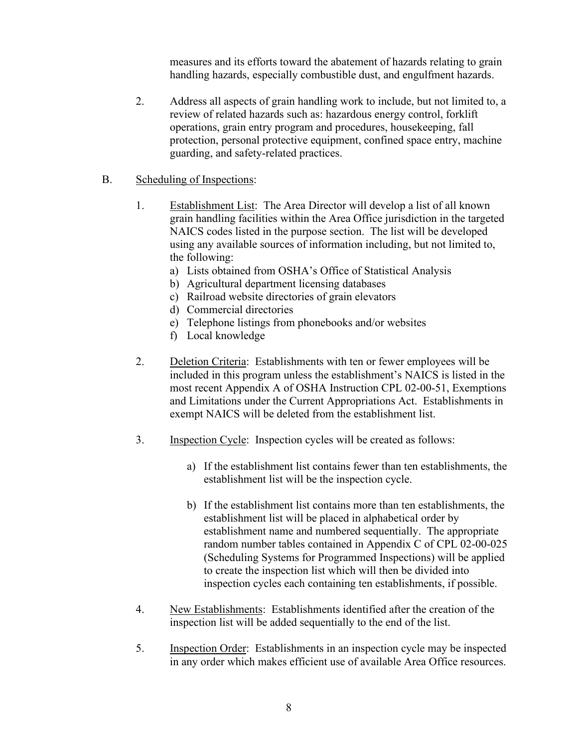measures and its efforts toward the abatement of hazards relating to grain handling hazards, especially combustible dust, and engulfment hazards.

2. Address all aspects of grain handling work to include, but not limited to, a review of related hazards such as: hazardous energy control, forklift operations, grain entry program and procedures, housekeeping, fall protection, personal protective equipment, confined space entry, machine guarding, and safety-related practices.

#### B. Scheduling of Inspections:

- 1. Establishment List: The Area Director will develop a list of all known grain handling facilities within the Area Office jurisdiction in the targeted NAICS codes listed in the purpose section. The list will be developed using any available sources of information including, but not limited to, the following:
	- a) Lists obtained from OSHA's Office of Statistical Analysis
	- b) Agricultural department licensing databases
	- c) Railroad website directories of grain elevators
	- d) Commercial directories
	- e) Telephone listings from phonebooks and/or websites
	- f) Local knowledge
- 2. Deletion Criteria: Establishments with ten or fewer employees will be included in this program unless the establishment's NAICS is listed in the most recent Appendix A of OSHA Instruction CPL 02-00-51, Exemptions and Limitations under the Current Appropriations Act. Establishments in exempt NAICS will be deleted from the establishment list.
- 3. Inspection Cycle: Inspection cycles will be created as follows:
	- a) If the establishment list contains fewer than ten establishments, the establishment list will be the inspection cycle.
	- b) If the establishment list contains more than ten establishments, the establishment list will be placed in alphabetical order by establishment name and numbered sequentially. The appropriate random number tables contained in Appendix C of CPL 02-00-025 (Scheduling Systems for Programmed Inspections) will be applied to create the inspection list which will then be divided into inspection cycles each containing ten establishments, if possible.
- 4. New Establishments: Establishments identified after the creation of the inspection list will be added sequentially to the end of the list.
- 5. Inspection Order: Establishments in an inspection cycle may be inspected in any order which makes efficient use of available Area Office resources.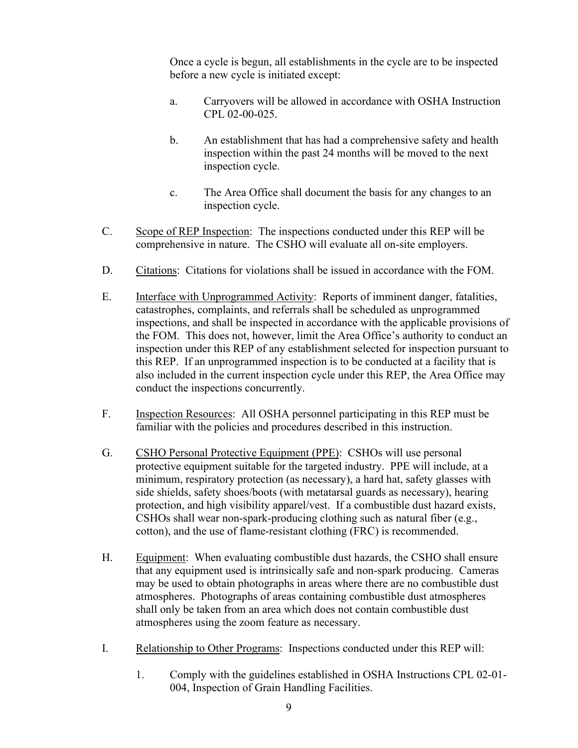Once a cycle is begun, all establishments in the cycle are to be inspected before a new cycle is initiated except:

- a. Carryovers will be allowed in accordance with OSHA Instruction CPL 02-00-025.
- b. An establishment that has had a comprehensive safety and health inspection within the past 24 months will be moved to the next inspection cycle.
- c. The Area Office shall document the basis for any changes to an inspection cycle.
- C. Scope of REP Inspection: The inspections conducted under this REP will be comprehensive in nature. The CSHO will evaluate all on-site employers.
- D. Citations: Citations for violations shall be issued in accordance with the FOM.
- E. Interface with Unprogrammed Activity: Reports of imminent danger, fatalities, catastrophes, complaints, and referrals shall be scheduled as unprogrammed inspections, and shall be inspected in accordance with the applicable provisions of the FOM. This does not, however, limit the Area Office's authority to conduct an inspection under this REP of any establishment selected for inspection pursuant to this REP. If an unprogrammed inspection is to be conducted at a facility that is also included in the current inspection cycle under this REP, the Area Office may conduct the inspections concurrently.
- F. Inspection Resources: All OSHA personnel participating in this REP must be familiar with the policies and procedures described in this instruction.
- G. CSHO Personal Protective Equipment (PPE): CSHOs will use personal protective equipment suitable for the targeted industry. PPE will include, at a minimum, respiratory protection (as necessary), a hard hat, safety glasses with side shields, safety shoes/boots (with metatarsal guards as necessary), hearing protection, and high visibility apparel/vest. If a combustible dust hazard exists, CSHOs shall wear non-spark-producing clothing such as natural fiber (e.g., cotton), and the use of flame-resistant clothing (FRC) is recommended.
- H. Equipment: When evaluating combustible dust hazards, the CSHO shall ensure that any equipment used is intrinsically safe and non-spark producing. Cameras may be used to obtain photographs in areas where there are no combustible dust atmospheres. Photographs of areas containing combustible dust atmospheres shall only be taken from an area which does not contain combustible dust atmospheres using the zoom feature as necessary.
- I. Relationship to Other Programs: Inspections conducted under this REP will:
	- 1. Comply with the guidelines established in OSHA Instructions CPL 02-01- 004, Inspection of Grain Handling Facilities.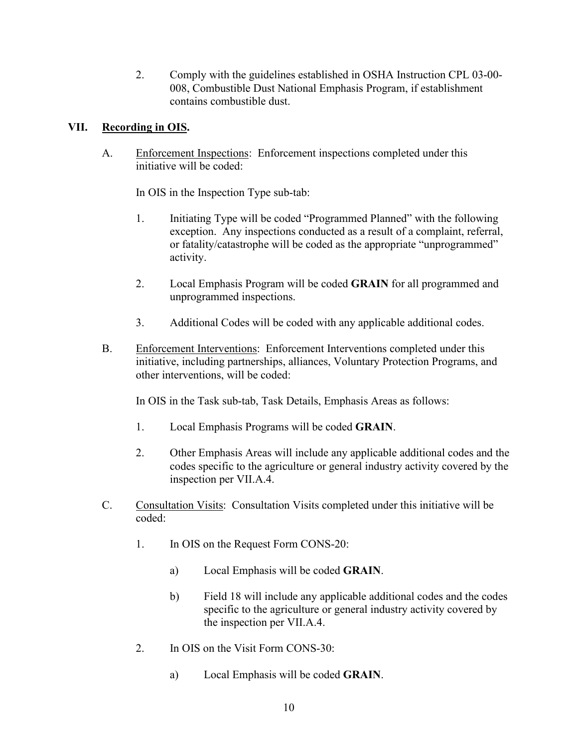2. Comply with the guidelines established in OSHA Instruction CPL 03-00- 008, Combustible Dust National Emphasis Program, if establishment contains combustible dust.

# <span id="page-9-0"></span>**VII. Recording in OIS.**

A. Enforcement Inspections: Enforcement inspections completed under this initiative will be coded:

In OIS in the Inspection Type sub-tab:

- 1. Initiating Type will be coded "Programmed Planned" with the following exception. Any inspections conducted as a result of a complaint, referral, or fatality/catastrophe will be coded as the appropriate "unprogrammed" activity.
- 2. Local Emphasis Program will be coded **GRAIN** for all programmed and unprogrammed inspections.
- 3. Additional Codes will be coded with any applicable additional codes.
- B. Enforcement Interventions: Enforcement Interventions completed under this initiative, including partnerships, alliances, Voluntary Protection Programs, and other interventions, will be coded:

In OIS in the Task sub-tab, Task Details, Emphasis Areas as follows:

- 1. Local Emphasis Programs will be coded **GRAIN**.
- 2. Other Emphasis Areas will include any applicable additional codes and the codes specific to the agriculture or general industry activity covered by the inspection per VII.A.4.
- C. Consultation Visits: Consultation Visits completed under this initiative will be coded:
	- 1. In OIS on the Request Form CONS-20:
		- a) Local Emphasis will be coded **GRAIN**.
		- b) Field 18 will include any applicable additional codes and the codes specific to the agriculture or general industry activity covered by the inspection per VII.A.4.
	- 2. In OIS on the Visit Form CONS-30:
		- a) Local Emphasis will be coded **GRAIN**.